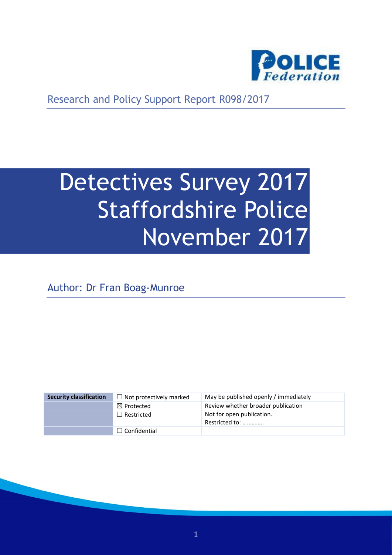

Research and Policy Support Report R098/2017

# Detectives Survey 2017 Staffordshire Police November 2017

Author: Dr Fran Boag-Munroe

| <b>Security classification</b> | $\Box$ Not protectively marked | May be published openly / immediately       |
|--------------------------------|--------------------------------|---------------------------------------------|
|                                | $\boxtimes$ Protected          | Review whether broader publication          |
|                                | $\Box$ Restricted              | Not for open publication.<br>Restricted to: |
|                                | $\Box$ Confidential            |                                             |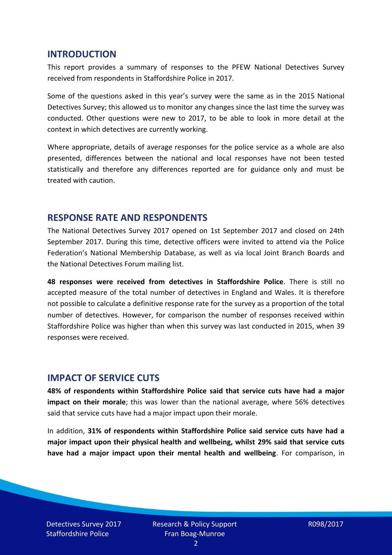#### **INTRODUCTION**

This report provides a summary of responses to the PFEW National Detectives Survey received from respondents in Staffordshire Police in 2017.

Some of the questions asked in this year's survey were the same as in the 2015 National Detectives Survey; this allowed us to monitor any changes since the last time the survey was conducted. Other questions were new to 2017, to be able to look in more detail at the context in which detectives are currently working.

Where appropriate, details of average responses for the police service as a whole are also presented, differences between the national and local responses have not been tested statistically and therefore any differences reported are for guidance only and must be treated with caution.

#### **RESPONSE RATE AND RESPONDENTS**

The National Detectives Survey 2017 opened on 1st September 2017 and closed on 24th September 2017. During this time, detective officers were invited to attend via the Police Federation's National Membership Database, as well as via local Joint Branch Boards and the National Detectives Forum mailing list.

**48 responses were received from detectives in Staffordshire Police**. There is still no accepted measure of the total number of detectives in England and Wales. It is therefore not possible to calculate a definitive response rate for the survey as a proportion of the total number of detectives. However, for comparison the number of responses received within Staffordshire Police was higher than when this survey was last conducted in 2015, when 39 responses were received.

#### **IMPACT OF SERVICE CUTS**

**48% of respondents within Staffordshire Police said that service cuts have had a major impact on their morale**; this was lower than the national average, where 56% detectives said that service cuts have had a major impact upon their morale.

In addition, **31% of respondents within Staffordshire Police said service cuts have had a major impact upon their physical health and wellbeing, whilst 29% said that service cuts have had a major impact upon their mental health and wellbeing**. For comparison, in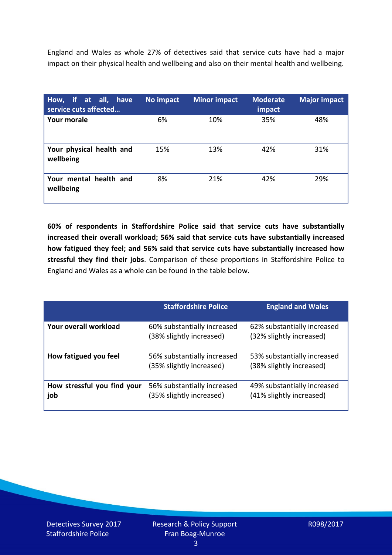England and Wales as whole 27% of detectives said that service cuts have had a major impact on their physical health and wellbeing and also on their mental health and wellbeing.

| How, if at all, have<br>service cuts affected | No impact | <b>Minor impact</b> | <b>Moderate</b><br>impact | <b>Major impact</b> |
|-----------------------------------------------|-----------|---------------------|---------------------------|---------------------|
| Your morale                                   | 6%        | 10%                 | 35%                       | 48%                 |
| Your physical health and<br>wellbeing         | 15%       | 13%                 | 42%                       | 31%                 |
| Your mental health and<br>wellbeing           | 8%        | 21%                 | 42%                       | 29%                 |

**60% of respondents in Staffordshire Police said that service cuts have substantially increased their overall workload; 56% said that service cuts have substantially increased how fatigued they feel; and 56% said that service cuts have substantially increased how stressful they find their jobs**. Comparison of these proportions in Staffordshire Police to England and Wales as a whole can be found in the table below.

|                                    | <b>Staffordshire Police</b>                             | <b>England and Wales</b>                                |
|------------------------------------|---------------------------------------------------------|---------------------------------------------------------|
| Your overall workload              | 60% substantially increased<br>(38% slightly increased) | 62% substantially increased<br>(32% slightly increased) |
| How fatigued you feel              | 56% substantially increased<br>(35% slightly increased) | 53% substantially increased<br>(38% slightly increased) |
| How stressful you find your<br>job | 56% substantially increased<br>(35% slightly increased) | 49% substantially increased<br>(41% slightly increased) |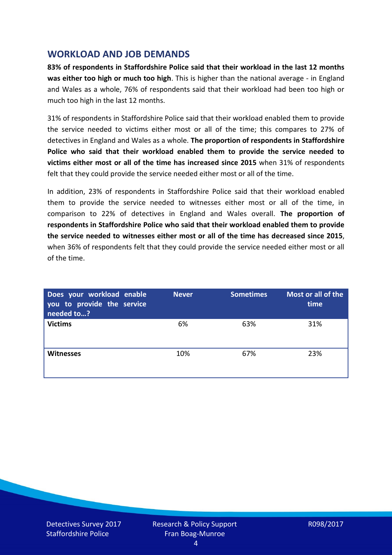## **WORKLOAD AND JOB DEMANDS**

**83% of respondents in Staffordshire Police said that their workload in the last 12 months was either too high or much too high**. This is higher than the national average - in England and Wales as a whole, 76% of respondents said that their workload had been too high or much too high in the last 12 months.

31% of respondents in Staffordshire Police said that their workload enabled them to provide the service needed to victims either most or all of the time; this compares to 27% of detectives in England and Wales as a whole. **The proportion of respondents in Staffordshire Police who said that their workload enabled them to provide the service needed to victims either most or all of the time has increased since 2015** when 31% of respondents felt that they could provide the service needed either most or all of the time.

In addition, 23% of respondents in Staffordshire Police said that their workload enabled them to provide the service needed to witnesses either most or all of the time, in comparison to 22% of detectives in England and Wales overall. **The proportion of respondents in Staffordshire Police who said that their workload enabled them to provide the service needed to witnesses either most or all of the time has decreased since 2015**, when 36% of respondents felt that they could provide the service needed either most or all of the time.

| Does your workload enable<br>you to provide the service<br>needed to? | <b>Never</b> | <b>Sometimes</b> | Most or all of the<br>time |
|-----------------------------------------------------------------------|--------------|------------------|----------------------------|
| <b>Victims</b>                                                        | 6%           | 63%              | 31%                        |
| <b>Witnesses</b>                                                      | 10%          | 67%              | 23%                        |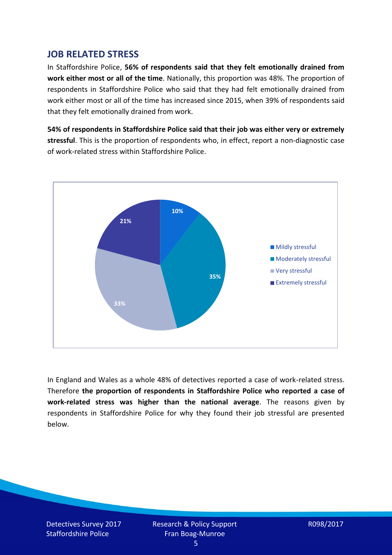## **JOB RELATED STRESS**

In Staffordshire Police, **56% of respondents said that they felt emotionally drained from work either most or all of the time**. Nationally, this proportion was 48%. The proportion of respondents in Staffordshire Police who said that they had felt emotionally drained from work either most or all of the time has increased since 2015, when 39% of respondents said that they felt emotionally drained from work.

**54% of respondents in Staffordshire Police said that their job was either very or extremely stressful**. This is the proportion of respondents who, in effect, report a non-diagnostic case of work-related stress within Staffordshire Police.



In England and Wales as a whole 48% of detectives reported a case of work-related stress. Therefore **the proportion of respondents in Staffordshire Police who reported a case of work-related stress was higher than the national average**. The reasons given by respondents in Staffordshire Police for why they found their job stressful are presented below.

Detectives Survey 2017 Staffordshire Police

Research & Policy Support Fran Boag-Munroe

R098/2017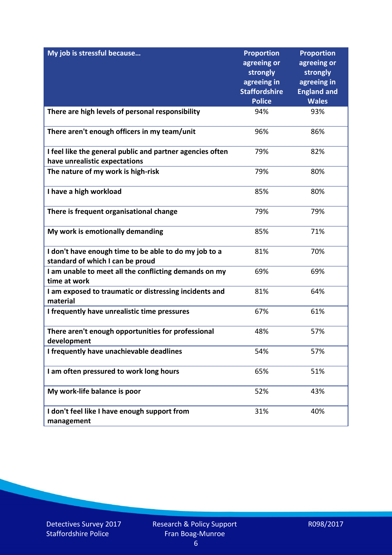| My job is stressful because                                                               | <b>Proportion</b><br>agreeing or<br>strongly<br>agreeing in<br><b>Staffordshire</b><br><b>Police</b> | <b>Proportion</b><br>agreeing or<br>strongly<br>agreeing in<br><b>England and</b><br><b>Wales</b> |
|-------------------------------------------------------------------------------------------|------------------------------------------------------------------------------------------------------|---------------------------------------------------------------------------------------------------|
| There are high levels of personal responsibility                                          | 94%                                                                                                  | 93%                                                                                               |
|                                                                                           |                                                                                                      |                                                                                                   |
| There aren't enough officers in my team/unit                                              | 96%                                                                                                  | 86%                                                                                               |
| I feel like the general public and partner agencies often                                 | 79%                                                                                                  | 82%                                                                                               |
| have unrealistic expectations                                                             |                                                                                                      |                                                                                                   |
| The nature of my work is high-risk                                                        | 79%                                                                                                  | 80%                                                                                               |
| I have a high workload                                                                    | 85%                                                                                                  | 80%                                                                                               |
| There is frequent organisational change                                                   | 79%                                                                                                  | 79%                                                                                               |
| My work is emotionally demanding                                                          | 85%                                                                                                  | 71%                                                                                               |
| I don't have enough time to be able to do my job to a<br>standard of which I can be proud | 81%                                                                                                  | 70%                                                                                               |
| I am unable to meet all the conflicting demands on my<br>time at work                     | 69%                                                                                                  | 69%                                                                                               |
| I am exposed to traumatic or distressing incidents and<br>material                        | 81%                                                                                                  | 64%                                                                                               |
| I frequently have unrealistic time pressures                                              | 67%                                                                                                  | 61%                                                                                               |
| There aren't enough opportunities for professional<br>development                         | 48%                                                                                                  | 57%                                                                                               |
| I frequently have unachievable deadlines                                                  | 54%                                                                                                  | 57%                                                                                               |
| I am often pressured to work long hours                                                   | 65%                                                                                                  | 51%                                                                                               |
| My work-life balance is poor                                                              | 52%                                                                                                  | 43%                                                                                               |
| I don't feel like I have enough support from<br>management                                | 31%                                                                                                  | 40%                                                                                               |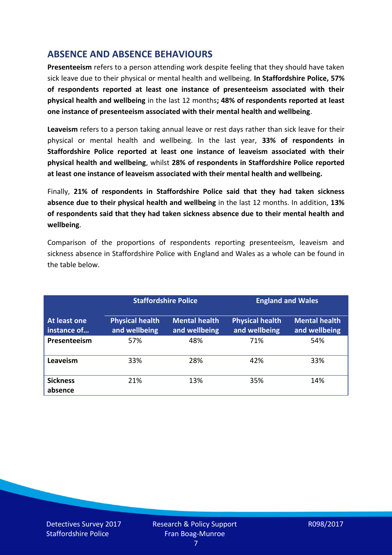# **ABSENCE AND ABSENCE BEHAVIOURS**

**Presenteeism** refers to a person attending work despite feeling that they should have taken sick leave due to their physical or mental health and wellbeing. **In Staffordshire Police, 57% of respondents reported at least one instance of presenteeism associated with their physical health and wellbeing** in the last 12 months**; 48% of respondents reported at least one instance of presenteeism associated with their mental health and wellbeing**.

**Leaveism** refers to a person taking annual leave or rest days rather than sick leave for their physical or mental health and wellbeing. In the last year, **33% of respondents in Staffordshire Police reported at least one instance of leaveism associated with their physical health and wellbeing**, whilst **28% of respondents in Staffordshire Police reported at least one instance of leaveism associated with their mental health and wellbeing.**

Finally, **21% of respondents in Staffordshire Police said that they had taken sickness absence due to their physical health and wellbeing** in the last 12 months. In addition, **13% of respondents said that they had taken sickness absence due to their mental health and wellbeing**.

Comparison of the proportions of respondents reporting presenteeism, leaveism and sickness absence in Staffordshire Police with England and Wales as a whole can be found in the table below.

|                             |                                         | <b>Staffordshire Police</b>           |                                         | <b>England and Wales</b>              |
|-----------------------------|-----------------------------------------|---------------------------------------|-----------------------------------------|---------------------------------------|
| At least one<br>instance of | <b>Physical health</b><br>and wellbeing | <b>Mental health</b><br>and wellbeing | <b>Physical health</b><br>and wellbeing | <b>Mental health</b><br>and wellbeing |
| Presenteeism                | 57%                                     | 48%                                   | 71%                                     | 54%                                   |
| Leaveism                    | 33%                                     | 28%                                   | 42%                                     | 33%                                   |
| <b>Sickness</b><br>absence  | 21%                                     | 13%                                   | 35%                                     | 14%                                   |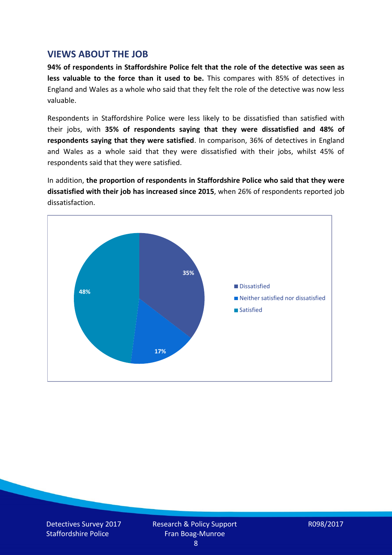### **VIEWS ABOUT THE JOB**

**94% of respondents in Staffordshire Police felt that the role of the detective was seen as less valuable to the force than it used to be.** This compares with 85% of detectives in England and Wales as a whole who said that they felt the role of the detective was now less valuable.

Respondents in Staffordshire Police were less likely to be dissatisfied than satisfied with their jobs, with **35% of respondents saying that they were dissatisfied and 48% of respondents saying that they were satisfied**. In comparison, 36% of detectives in England and Wales as a whole said that they were dissatisfied with their jobs, whilst 45% of respondents said that they were satisfied.

In addition, **the proportion of respondents in Staffordshire Police who said that they were dissatisfied with their job has increased since 2015**, when 26% of respondents reported job dissatisfaction.

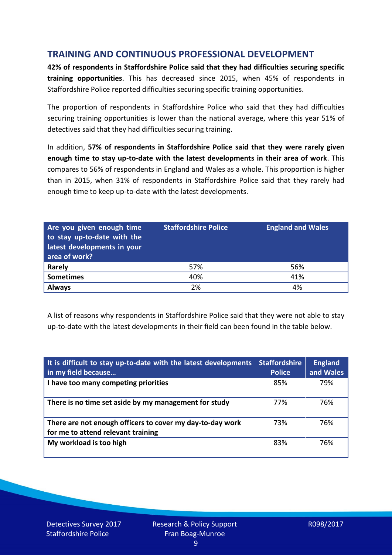# **TRAINING AND CONTINUOUS PROFESSIONAL DEVELOPMENT**

**42% of respondents in Staffordshire Police said that they had difficulties securing specific training opportunities**. This has decreased since 2015, when 45% of respondents in Staffordshire Police reported difficulties securing specific training opportunities.

The proportion of respondents in Staffordshire Police who said that they had difficulties securing training opportunities is lower than the national average, where this year 51% of detectives said that they had difficulties securing training.

In addition, **57% of respondents in Staffordshire Police said that they were rarely given enough time to stay up-to-date with the latest developments in their area of work**. This compares to 56% of respondents in England and Wales as a whole. This proportion is higher than in 2015, when 31% of respondents in Staffordshire Police said that they rarely had enough time to keep up-to-date with the latest developments.

| Are you given enough time<br>to stay up-to-date with the<br>latest developments in your<br>area of work? | <b>Staffordshire Police</b> | <b>England and Wales</b> |
|----------------------------------------------------------------------------------------------------------|-----------------------------|--------------------------|
| Rarely                                                                                                   | 57%                         | 56%                      |
| <b>Sometimes</b>                                                                                         | 40%                         | 41%                      |
| <b>Always</b>                                                                                            | 2%                          | 4%                       |

A list of reasons why respondents in Staffordshire Police said that they were not able to stay up-to-date with the latest developments in their field can been found in the table below.

| It is difficult to stay up-to-date with the latest developments<br>in my field because          | <b>Staffordshire</b><br><b>Police</b> | <b>England</b><br>and Wales |
|-------------------------------------------------------------------------------------------------|---------------------------------------|-----------------------------|
| I have too many competing priorities                                                            | 85%                                   | 79%                         |
| There is no time set aside by my management for study                                           | 77%                                   | 76%                         |
| There are not enough officers to cover my day-to-day work<br>for me to attend relevant training | 73%                                   | 76%                         |
| My workload is too high                                                                         | 83%                                   | 76%                         |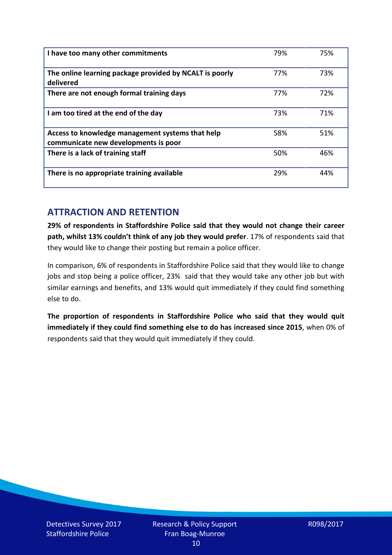| I have too many other commitments                                                        | 79% | 75% |
|------------------------------------------------------------------------------------------|-----|-----|
| The online learning package provided by NCALT is poorly<br>delivered                     | 77% | 73% |
| There are not enough formal training days                                                | 77% | 72% |
| I am too tired at the end of the day                                                     | 73% | 71% |
| Access to knowledge management systems that help<br>communicate new developments is poor | 58% | 51% |
| There is a lack of training staff                                                        | 50% | 46% |
| There is no appropriate training available                                               | 29% | 44% |

# **ATTRACTION AND RETENTION**

**29% of respondents in Staffordshire Police said that they would not change their career path, whilst 13% couldn't think of any job they would prefer**. 17% of respondents said that they would like to change their posting but remain a police officer.

In comparison, 6% of respondents in Staffordshire Police said that they would like to change jobs and stop being a police officer, 23% said that they would take any other job but with similar earnings and benefits, and 13% would quit immediately if they could find something else to do.

**The proportion of respondents in Staffordshire Police who said that they would quit immediately if they could find something else to do has increased since 2015**, when 0% of respondents said that they would quit immediately if they could.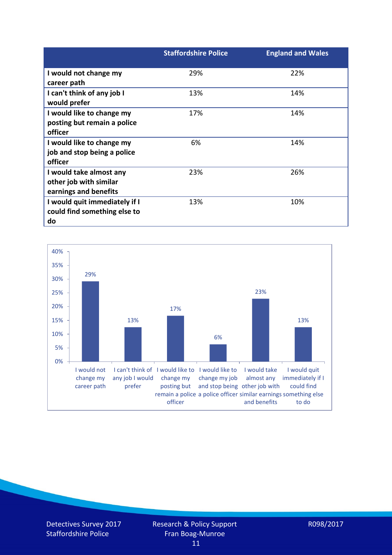|                               | <b>Staffordshire Police</b> | <b>England and Wales</b> |
|-------------------------------|-----------------------------|--------------------------|
| I would not change my         | 29%                         | 22%                      |
| career path                   |                             |                          |
| I can't think of any job I    | 13%                         | 14%                      |
| would prefer                  |                             |                          |
| I would like to change my     | 17%                         | 14%                      |
| posting but remain a police   |                             |                          |
| officer                       |                             |                          |
| I would like to change my     | 6%                          | 14%                      |
| job and stop being a police   |                             |                          |
| officer                       |                             |                          |
| I would take almost any       | 23%                         | 26%                      |
| other job with similar        |                             |                          |
| earnings and benefits         |                             |                          |
| I would quit immediately if I | 13%                         | 10%                      |
| could find something else to  |                             |                          |
| do                            |                             |                          |